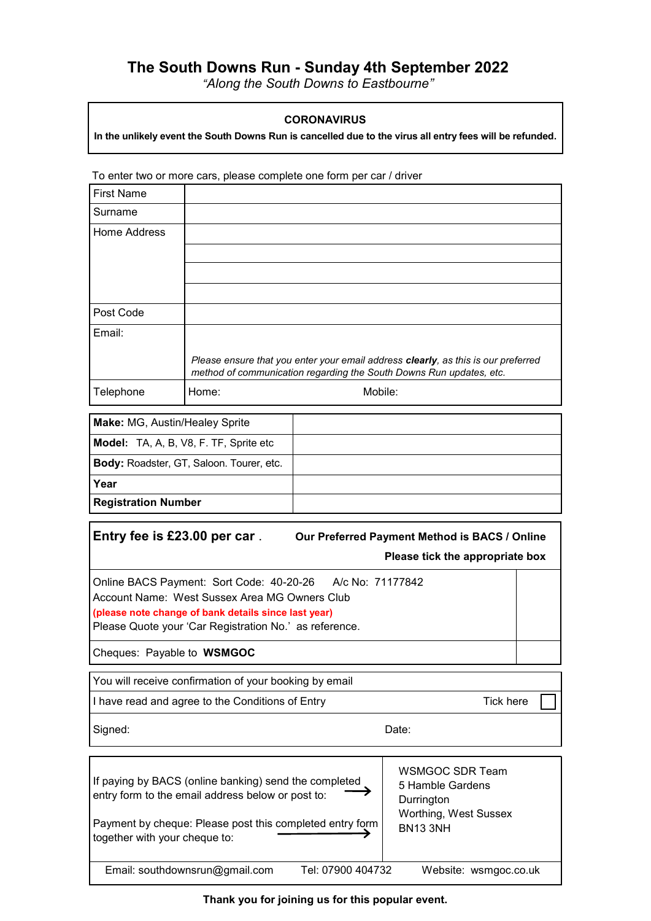## **The South Downs Run - Sunday 4th September 2022**

*"Along the South Downs to Eastbourne"*

## **CORONAVIRUS**

**In the unlikely event the South Downs Run is cancelled due to the virus all entry fees will be refunded.**

To enter two or more cars, please complete one form per car / driver

| <b>First Name</b> |                                                                                                                                                          |
|-------------------|----------------------------------------------------------------------------------------------------------------------------------------------------------|
| Surname           |                                                                                                                                                          |
| Home Address      |                                                                                                                                                          |
|                   |                                                                                                                                                          |
|                   |                                                                                                                                                          |
|                   |                                                                                                                                                          |
| Post Code         |                                                                                                                                                          |
| Email:            |                                                                                                                                                          |
|                   | Please ensure that you enter your email address clearly, as this is our preferred<br>method of communication regarding the South Downs Run updates, etc. |
| Telephone         | Mobile:<br>Home:                                                                                                                                         |

| Make: MG, Austin/Healey Sprite                  |  |
|-------------------------------------------------|--|
| Model: TA, A, B, V8, F. TF, Sprite etc          |  |
| <b>Body: Roadster, GT, Saloon. Tourer, etc.</b> |  |
| Year                                            |  |
| <b>Registration Number</b>                      |  |

**Entry fee is £23.00 per car** . **Our Preferred Payment Method is BACS / Online Please tick the appropriate box** 

Online BACS Payment: Sort Code: 40-20-26 A/c No: 71177842 Account Name: West Sussex Area MG Owners Club **(please note change of bank details since last year)** Please Quote your 'Car Registration No.' as reference.

Cheques: Payable to **WSMGOC**

You will receive confirmation of your booking by email

I have read and agree to the Conditions of Entry The Matter of Tick here

| Signed: | Date: |
|---------|-------|
|---------|-------|

| If paying by BACS (online banking) send the completed<br>entry form to the email address below or post to: | WSMGOC SDR Team<br>5 Hamble Gardens<br>Durrington |
|------------------------------------------------------------------------------------------------------------|---------------------------------------------------|
| Payment by cheque: Please post this completed entry form<br>together with your cheque to:                  | Worthing, West Sussex<br><b>BN13 3NH</b>          |
| Email: southdownsrun@gmail.com<br>Tel: 07900 404732                                                        | Website: wsmgoc.co.uk                             |

**Thank you for joining us for this popular event.**